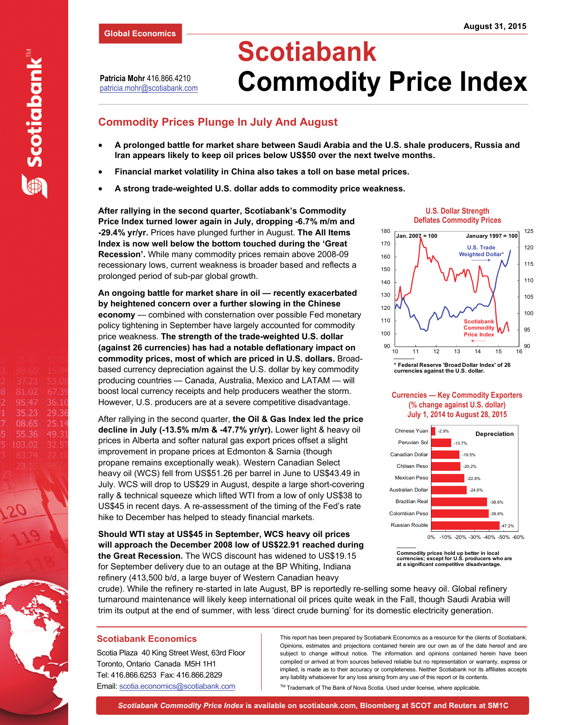**Patricia Mohr** 416.866.4210 patricia.mohr@scotiabank.com

# **Commodity Prices Plunge In July And August**

- **A prolonged battle for market share between Saudi Arabia and the U.S. shale producers, Russia and Iran appears likely to keep oil prices below US\$50 over the next twelve months.**
- **Financial market volatility in China also takes a toll on base metal prices.**
- **A strong trade-weighted U.S. dollar adds to commodity price weakness.**

**After rallying in the second quarter, Scotiabank's Commodity Price Index turned lower again in July, dropping -6.7% m/m and -29.4% yr/yr.** Prices have plunged further in August. **The All Items Index is now well below the bottom touched during the 'Great Recession'.** While many commodity prices remain above 2008-09 recessionary lows, current weakness is broader based and reflects a prolonged period of sub-par global growth.

**An ongoing battle for market share in oil — recently exacerbated by heightened concern over a further slowing in the Chinese economy** — combined with consternation over possible Fed monetary policy tightening in September have largely accounted for commodity price weakness. **The strength of the trade-weighted U.S. dollar (against 26 currencies) has had a notable deflationary impact on commodity prices, most of which are priced in U.S. dollars.** Broadbased currency depreciation against the U.S. dollar by key commodity producing countries — Canada, Australia, Mexico and LATAM — will boost local currency receipts and help producers weather the storm. However, U.S. producers are at a severe competitive disadvantage.

After rallying in the second quarter, **the Oil & Gas Index led the price decline in July (-13.5% m/m & -47.7% yr/yr).** Lower light & heavy oil prices in Alberta and softer natural gas export prices offset a slight improvement in propane prices at Edmonton & Sarnia (though propane remains exceptionally weak). Western Canadian Select heavy oil (WCS) fell from US\$51.26 per barrel in June to US\$43.49 in July. WCS will drop to US\$29 in August, despite a large short-covering rally & technical squeeze which lifted WTI from a low of only US\$38 to US\$45 in recent days. A re-assessment of the timing of the Fed's rate hike to December has helped to steady financial markets.

**Should WTI stay at US\$45 in September, WCS heavy oil prices will approach the December 2008 low of US\$22.91 reached during the Great Recession.** The WCS discount has widened to US\$19.15 for September delivery due to an outage at the BP Whiting, Indiana refinery (413,500 b/d, a large buyer of Western Canadian heavy







#### **Currencies — Key Commodity Exporters (% change against U.S. dollar) July 1, 2014 to August 28, 2015**



**Commodity prices hold up better in local currencies; except for U.S. producers who are at a significant competitive disadvantage.**

crude). While the refinery re-started in late August, BP is reportedly re-selling some heavy oil. Global refinery turnaround maintenance will likely keep international oil prices quite weak in the Fall, though Saudi Arabia will trim its output at the end of summer, with less 'direct crude burning' for its domestic electricity generation.

#### **Scotiabank Economics**

Scotia Plaza 40 King Street West, 63rd Floor Toronto, Ontario Canada M5H 1H1 Tel: 416.866.6253 Fax: 416.866.2829 Email: scotia.economics@scotiabank.com

This report has been prepared by Scotiabank Economics as a resource for the clients of Scotiabank. Opinions, estimates and projections contained herein are our own as of the date hereof and are subject to change without notice. The information and opinions contained herein have been compiled or arrived at from sources believed reliable but no representation or warranty, express or implied, is made as to their accuracy or completeness. Neither Scotiabank nor its affiliates accepts any liability whatsoever for any loss arising from any use of this report or its contents.

™ Trademark of The Bank of Nova Scotia. Used under license, where applicable.

**Scotiabank** 

81.02 95.47

35.23

08.65

55.36

36.1

29.3

25.1 49.3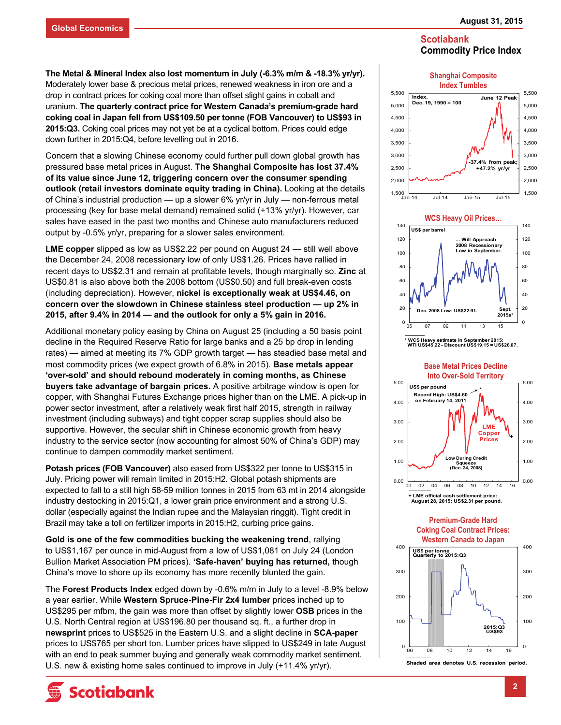**The Metal & Mineral Index also lost momentum in July (-6.3% m/m & -18.3% yr/yr).**  Moderately lower base & precious metal prices, renewed weakness in iron ore and a drop in contract prices for coking coal more than offset slight gains in cobalt and uranium. **The quarterly contract price for Western Canada's premium-grade hard coking coal in Japan fell from US\$109.50 per tonne (FOB Vancouver) to US\$93 in 2015:Q3.** Coking coal prices may not yet be at a cyclical bottom. Prices could edge down further in 2015:Q4, before levelling out in 2016.

Concern that a slowing Chinese economy could further pull down global growth has pressured base metal prices in August. **The Shanghai Composite has lost 37.4% of its value since June 12, triggering concern over the consumer spending outlook (retail investors dominate equity trading in China).** Looking at the details of China's industrial production — up a slower 6% yr/yr in July — non-ferrous metal processing (key for base metal demand) remained solid (+13% yr/yr). However, car sales have eased in the past two months and Chinese auto manufacturers reduced output by -0.5% yr/yr, preparing for a slower sales environment.

**LME copper** slipped as low as US\$2.22 per pound on August 24 — still well above the December 24, 2008 recessionary low of only US\$1.26. Prices have rallied in recent days to US\$2.31 and remain at profitable levels, though marginally so. **Zinc** at US\$0.81 is also above both the 2008 bottom (US\$0.50) and full break-even costs (including depreciation). However, **nickel is exceptionally weak at US\$4.46, on concern over the slowdown in Chinese stainless steel production — up 2% in 2015, after 9.4% in 2014 — and the outlook for only a 5% gain in 2016.** 

Additional monetary policy easing by China on August 25 (including a 50 basis point decline in the Required Reserve Ratio for large banks and a 25 bp drop in lending rates) — aimed at meeting its 7% GDP growth target — has steadied base metal and most commodity prices (we expect growth of 6.8% in 2015). **Base metals appear 'over-sold' and should rebound moderately in coming months, as Chinese buyers take advantage of bargain prices.** A positive arbitrage window is open for copper, with Shanghai Futures Exchange prices higher than on the LME. A pick-up in power sector investment, after a relatively weak first half 2015, strength in railway investment (including subways) and tight copper scrap supplies should also be supportive. However, the secular shift in Chinese economic growth from heavy industry to the service sector (now accounting for almost 50% of China's GDP) may continue to dampen commodity market sentiment.

**Potash prices (FOB Vancouver)** also eased from US\$322 per tonne to US\$315 in July. Pricing power will remain limited in 2015:H2. Global potash shipments are expected to fall to a still high 58-59 million tonnes in 2015 from 63 mt in 2014 alongside industry destocking in 2015:Q1, a lower grain price environment and a strong U.S. dollar (especially against the Indian rupee and the Malaysian ringgit). Tight credit in Brazil may take a toll on fertilizer imports in 2015:H2, curbing price gains.

**Gold is one of the few commodities bucking the weakening trend**, rallying to US\$1,167 per ounce in mid-August from a low of US\$1,081 on July 24 (London Bullion Market Association PM prices). **'Safe-haven' buying has returned,** though China's move to shore up its economy has more recently blunted the gain.

The **Forest Products Index** edged down by -0.6% m/m in July to a level -8.9% below a year earlier. While **Western Spruce-Pine-Fir 2x4 lumber** prices inched up to US\$295 per mfbm, the gain was more than offset by slightly lower **OSB** prices in the U.S. North Central region at US\$196.80 per thousand sq. ft., a further drop in **newsprint** prices to US\$525 in the Eastern U.S. and a slight decline in **SCA-paper**  prices to US\$765 per short ton. Lumber prices have slipped to US\$249 in late August with an end to peak summer buying and generally weak commodity market sentiment. U.S. new & existing home sales continued to improve in July (+11.4% yr/yr).











**Premium-Grade Hard Coking Coal Contract Prices:** 



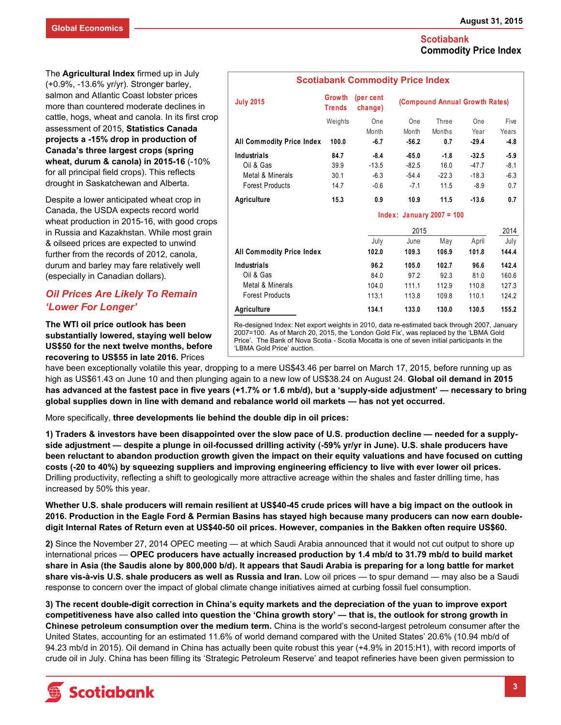The **Agricultural Index** firmed up in July (+0.9%, -13.6% yr/yr). Stronger barley, salmon and Atlantic Coast lobster prices more than countered moderate declines in cattle, hogs, wheat and canola. In its first crop assessment of 2015, **Statistics Canada projects a -15% drop in production of Canada's three largest crops (spring wheat, durum & canola) in 2015-16** (-10% for all principal field crops). This reflects drought in Saskatchewan and Alberta.

Despite a lower anticipated wheat crop in Canada, the USDA expects record world wheat production in 2015-16, with good crops in Russia and Kazakhstan. While most grain & oilseed prices are expected to unwind further from the records of 2012, canola, durum and barley may fare relatively well (especially in Canadian dollars).

# *Oil Prices Are Likely To Remain 'Lower For Longer'*

**The WTI oil price outlook has been substantially lowered, staying well below US\$50 for the next twelve months, before recovering to US\$55 in late 2016.** Prices

| <b>July 2015</b>                 | Growth<br><b>Trends</b> | (per cent<br>change) | (Compound Annual Growth Rates) |         |         |        |
|----------------------------------|-------------------------|----------------------|--------------------------------|---------|---------|--------|
|                                  | Weights                 | One                  | One                            | Three   | One     | Five   |
|                                  |                         | Month                | Month                          | Months  | Year    | Years  |
| <b>All Commodity Price Index</b> | 100.0                   | $-6.7$               | $-56.2$                        | 0.7     | $-29.4$ | $-4.8$ |
| Industrials                      | 84.7                    | $-8.4$               | $-65.0$                        | $-1.8$  | $-32.5$ | $-5.9$ |
| Oil & Gas                        | 39.9                    | $-13.5$              | $-82.5$                        | 16.0    | $-47.7$ | $-8.1$ |
| Metal & Minerals                 | 30.1                    | $-6.3$               | $-54.4$                        | $-22.3$ | $-18.3$ | $-6.3$ |
| <b>Forest Products</b>           | 14.7                    | $-0.6$               | $-7.1$                         | 11.5    | $-8.9$  | 0.7    |
| Agriculture                      | 15.3                    | 0.9                  | 10.9                           | 11.5    | $-13.6$ | 0.7    |
|                                  |                         |                      | Index: January 2007 = $100$    |         |         |        |
|                                  |                         |                      | 2015                           |         |         |        |
|                                  |                         | July                 | June                           | May     | April   | July   |
| All Commodity Price Index        |                         | 102.0                | 109.3                          | 106.9   | 101.8   | 144.4  |
| Industrials                      |                         | 96.2                 | 105.0                          | 102.7   | 96.6    | 142.4  |
| Oil & Gas                        |                         | 84.0                 | 97.2                           | 92.3    | 81.0    | 160.6  |
| Metal & Minerals                 |                         | 104.0                | 111.1                          | 112.9   | 110.8   | 127.3  |
| <b>Forest Products</b>           |                         | 113.1                | 113.8                          | 109.8   | 110.1   | 124.2  |
| Agriculture                      |                         | 134.1                | 133.0                          | 130.0   | 130.5   | 155.2  |

Re-designed Index: Net export weights in 2010, data re-estimated back through 2007, January 2007=100. As of March 20, 2015, the 'London Gold Fix', was replaced by the 'LBMA Gold Price'. The Bank of Nova Scotia - Scotia Mocatta is one of seven initial participants in the 'LBMA Gold Price' auction.

have been exceptionally volatile this year, dropping to a mere US\$43.46 per barrel on March 17, 2015, before running up as high as US\$61.43 on June 10 and then plunging again to a new low of US\$38.24 on August 24. **Global oil demand in 2015 has advanced at the fastest pace in five years (+1.7% or 1.6 mb/d), but a 'supply-side adjustment' — necessary to bring global supplies down in line with demand and rebalance world oil markets — has not yet occurred.** 

More specifically, **three developments lie behind the double dip in oil prices:** 

**1) Traders & investors have been disappointed over the slow pace of U.S. production decline — needed for a supplyside adjustment — despite a plunge in oil-focussed drilling activity (-59% yr/yr in June). U.S. shale producers have been reluctant to abandon production growth given the impact on their equity valuations and have focused on cutting costs (-20 to 40%) by squeezing suppliers and improving engineering efficiency to live with ever lower oil prices.**  Drilling productivity, reflecting a shift to geologically more attractive acreage within the shales and faster drilling time, has increased by 50% this year.

**Whether U.S. shale producers will remain resilient at US\$40-45 crude prices will have a big impact on the outlook in 2016. Production in the Eagle Ford & Permian Basins has stayed high because many producers can now earn doubledigit Internal Rates of Return even at US\$40-50 oil prices. However, companies in the Bakken often require US\$60.** 

**2)** Since the November 27, 2014 OPEC meeting — at which Saudi Arabia announced that it would not cut output to shore up international prices — **OPEC producers have actually increased production by 1.4 mb/d to 31.79 mb/d to build market share in Asia (the Saudis alone by 800,000 b/d). It appears that Saudi Arabia is preparing for a long battle for market share vis-à-vis U.S. shale producers as well as Russia and Iran.** Low oil prices — to spur demand — may also be a Saudi response to concern over the impact of global climate change initiatives aimed at curbing fossil fuel consumption.

**3) The recent double-digit correction in China's equity markets and the depreciation of the yuan to improve export competitiveness have also called into question the 'China growth story' — that is, the outlook for strong growth in Chinese petroleum consumption over the medium term.** China is the world's second-largest petroleum consumer after the United States, accounting for an estimated 11.6% of world demand compared with the United States' 20.6% (10.94 mb/d of 94.23 mb/d in 2015). Oil demand in China has actually been quite robust this year (+4.9% in 2015:H1), with record imports of crude oil in July. China has been filling its 'Strategic Petroleum Reserve' and teapot refineries have been given permission to

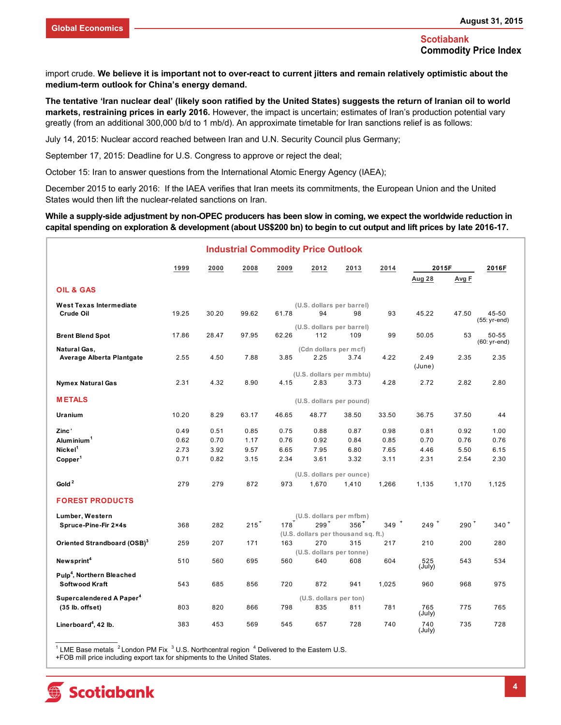import crude. **We believe it is important not to over-react to current jitters and remain relatively optimistic about the medium-term outlook for China's energy demand.** 

**The tentative 'Iran nuclear deal' (likely soon ratified by the United States) suggests the return of Iranian oil to world markets, restraining prices in early 2016.** However, the impact is uncertain; estimates of Iran's production potential vary greatly (from an additional 300,000 b/d to 1 mb/d). An approximate timetable for Iran sanctions relief is as follows:

July 14, 2015: Nuclear accord reached between Iran and U.N. Security Council plus Germany;

September 17, 2015: Deadline for U.S. Congress to approve or reject the deal;

October 15: Iran to answer questions from the International Atomic Energy Agency (IAEA);

December 2015 to early 2016: If the IAEA verifies that Iran meets its commitments, the European Union and the United States would then lift the nuclear-related sanctions on Iran.

#### **While a supply-side adjustment by non-OPEC producers has been slow in coming, we expect the worldwide reduction in capital spending on exploration & development (about US\$200 bn) to begin to cut output and lift prices by late 2016-17.**

|                                                         |       |       | <b>Industrial Commodity Price Outlook</b> |       |                               |                                     |         |                    |         |                        |
|---------------------------------------------------------|-------|-------|-------------------------------------------|-------|-------------------------------|-------------------------------------|---------|--------------------|---------|------------------------|
|                                                         | 1999  | 2000  | 2008                                      | 2009  | 2012                          | 2013                                | 2014    | 2015F              |         | 2016F                  |
|                                                         |       |       |                                           |       |                               |                                     |         | <b>Aug 28</b>      | Avg F   |                        |
| <b>OIL &amp; GAS</b>                                    |       |       |                                           |       |                               |                                     |         |                    |         |                        |
| <b>West Texas Intermediate</b>                          |       |       |                                           |       |                               | (U.S. dollars per barrel)           |         |                    |         |                        |
| Crude Oil                                               | 19.25 | 30.20 | 99.62                                     | 61.78 | 94                            | 98                                  | 93      | 45.22              | 47.50   | 45-50                  |
|                                                         |       |       |                                           |       |                               | (U.S. dollars per barrel)           |         |                    |         | (55: yr-end)           |
| <b>Brent Blend Spot</b>                                 | 17.86 | 28.47 | 97.95                                     | 62.26 | 112                           | 109                                 | 99      | 50.05              | 53      | 50-55<br>$(60:yr-end)$ |
| Natural Gas,                                            |       |       |                                           |       | (Cdn dollars per mcf)         |                                     |         |                    |         |                        |
| Average Alberta Plantgate                               | 2.55  | 4.50  | 7.88                                      | 3.85  | 2.25                          | 3.74                                | 4.22    | 2.49               | 2.35    | 2.35                   |
|                                                         |       |       |                                           |       |                               | (U.S. dollars per mmbtu)            |         | (June)             |         |                        |
| <b>Nymex Natural Gas</b>                                | 2.31  | 4.32  | 8.90                                      | 4.15  | 2.83                          | 3.73                                | 4.28    | 2.72               | 2.82    | 2.80                   |
| <b>METALS</b>                                           |       |       |                                           |       |                               | (U.S. dollars per pound)            |         |                    |         |                        |
| Uranium                                                 | 10.20 | 8.29  | 63.17                                     | 46.65 | 48.77                         | 38.50                               | 33.50   | 36.75              | 37.50   | 44                     |
| Zinc'                                                   | 0.49  | 0.51  | 0.85                                      | 0.75  | 0.88                          | 0.87                                | 0.98    | 0.81               | 0.92    | 1.00                   |
| Alum inium <sup>1</sup>                                 | 0.62  | 0.70  | 1.17                                      | 0.76  | 0.92                          | 0.84                                | 0.85    | 0.70               | 0.76    | 0.76                   |
| Nickel <sup>1</sup>                                     | 2.73  | 3.92  | 9.57                                      | 6.65  | 7.95                          | 6.80                                | 7.65    | 4.46               | 5.50    | 6.15                   |
| Copper <sup>1</sup>                                     | 0.71  | 0.82  | 3.15                                      | 2.34  | 3.61                          | 3.32                                | 3.11    | 2.31               | 2.54    | 2.30                   |
|                                                         |       |       |                                           |       |                               | (U.S. dollars per ounce)            |         |                    |         |                        |
| Gold $^2$                                               | 279   | 279   | 872                                       | 973   | 1,670                         | 1,410                               | 1,266   | 1,135              | 1,170   | 1,125                  |
| <b>FOREST PRODUCTS</b>                                  |       |       |                                           |       |                               |                                     |         |                    |         |                        |
| Lumber, Western                                         |       |       |                                           |       |                               | (U.S. dollars per mfbm)             |         |                    |         |                        |
| Spruce-Pine-Fir 2×4s                                    | 368   | 282   | $215+$                                    | 178   | $299^+$                       | $356+$                              | 349 $+$ | $249$ <sup>+</sup> | $290^+$ | $340 +$                |
|                                                         |       |       |                                           | 163   | 270                           | (U.S. dollars per thousand sq. ft.) |         |                    |         | 280                    |
| Oriented Strandboard (OSB) <sup>3</sup>                 | 259   | 207   | 171                                       |       |                               | 315<br>(U.S. dollars per tonne)     | 217     | 210                | 200     |                        |
| Newsprint <sup>4</sup>                                  | 510   | 560   | 695                                       | 560   | 640                           | 608                                 | 604     | 525<br>(July)      | 543     | 534                    |
| Pulp <sup>4</sup> , Northern Bleached<br>Softwood Kraft | 543   | 685   | 856                                       | 720   | 872                           | 941                                 | 1,025   | 960                | 968     | 975                    |
|                                                         |       |       |                                           |       |                               |                                     |         |                    |         |                        |
| Supercalendered A Paper <sup>4</sup>                    | 803   | 820   | 866                                       | 798   | (U.S. dollars per ton)<br>835 | 811                                 | 781     | 765                | 775     | 765                    |
| $(35$ lb. offset)                                       |       |       |                                           |       |                               |                                     |         | (July)             |         |                        |
| Linerboard <sup>4</sup> , 42 lb.                        | 383   | 453   | 569                                       | 545   | 657                           | 728                                 | 740     | 740<br>(July)      | 735     | 728                    |

<sup>1</sup> LME Base metals  $2$  London PM Fix  $3$  U.S. Northcentral region  $4$  Delivered to the Eastern U.S.

+FOB mill price including export tax for shipments to the United States.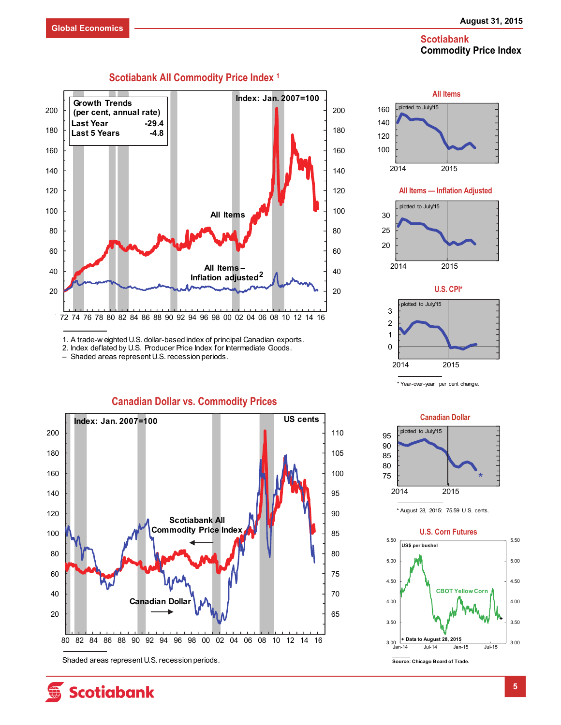

1. A trade-w eighted U.S. dollar-based index of principal Canadian exports.

2. Index deflated by U.S. Producer Price Index for Intermediate Goods.

– Shaded areas represent U.S. recession periods.



**Canadian Dollar vs. Commodity Prices** 

**All Items — Inflation Adjusted**  100 120 140 160 2014 2015 plotted to July/15 2 3 plotted to July/15 **U.S. CPI\***  20 25 30 2014 2015 plotted to July/15

**All Items** 



\* Year-over-year per cent change.



<sup>\*</sup> August 28, 2015: 75.59 U.S. cents.



# **Scotiabank All Commodity Price Index 1**

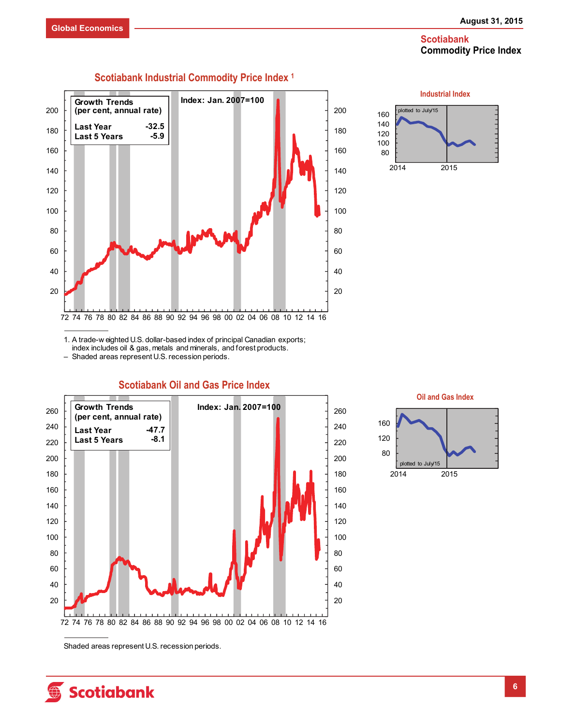

#### 72 74 76 78 80 82 84 86 88 90 92 94 96 98 00 02 04 06 08 10 12 14 16 **Growth Trends Index: Jan. 2007=100 (per cent, annual rate) Last Year Last 5 Years -32.5 -5.9**

**Scotiabank Industrial Commodity Price Index 1**



1. A trade-w eighted U.S. dollar-based index of principal Canadian exports; index includes oil & gas, metals and minerals, and forest products.

– Shaded areas represent U.S. recession periods.



# **Scotiabank Oil and Gas Price Index**



Shaded areas represent U.S. recession periods.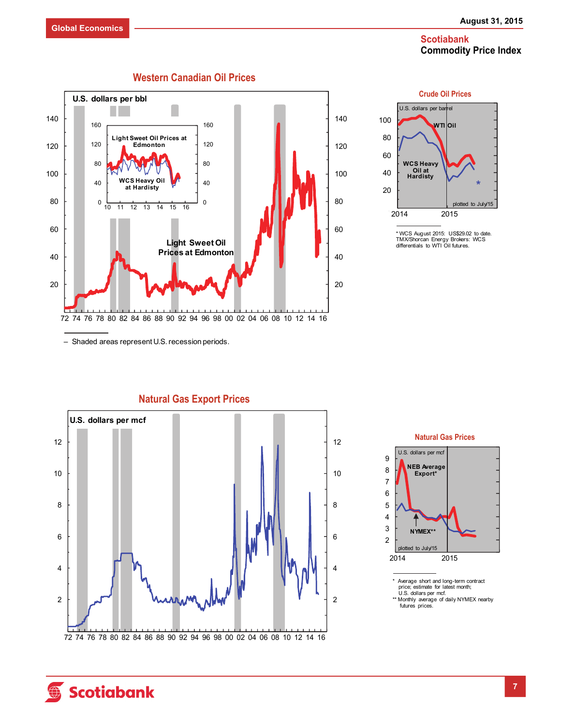



<sup>\*</sup> WCS August 2015: US\$29.02 to date. TMX/Shorcan Energy Brokers: WCS differentials to WTI Oil futures.

– Shaded areas represent U.S. recession periods.



**Natural Gas Export Prices** 



\* Average short and long-term contract price; estimate for latest month; U.S. dollars per mcf. \*\* Monthly average of daily NYMEX nearby

futures prices.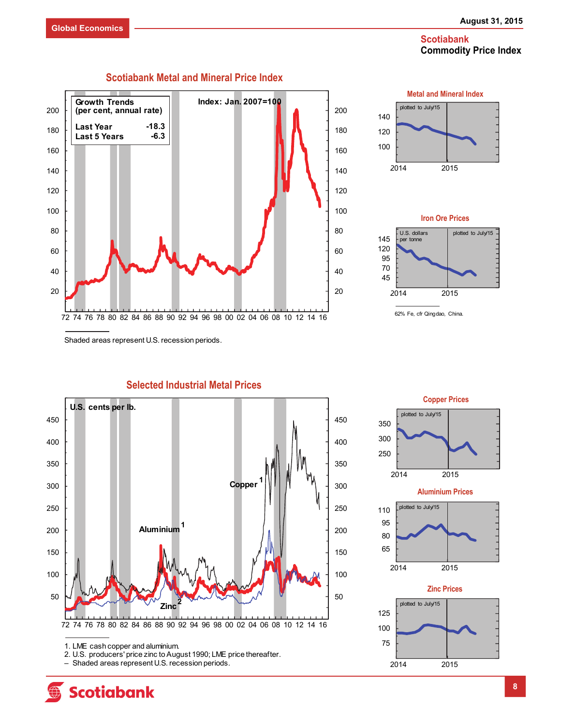





Shaded areas represent U.S. recession periods.



**Selected Industrial Metal Prices** 

1. LME cash copper and aluminium.

**Scotiabank** 





<sup>2.</sup> U.S. producers' price zinc to August 1990; LME price thereafter.

<sup>–</sup> Shaded areas represent U.S. recession periods.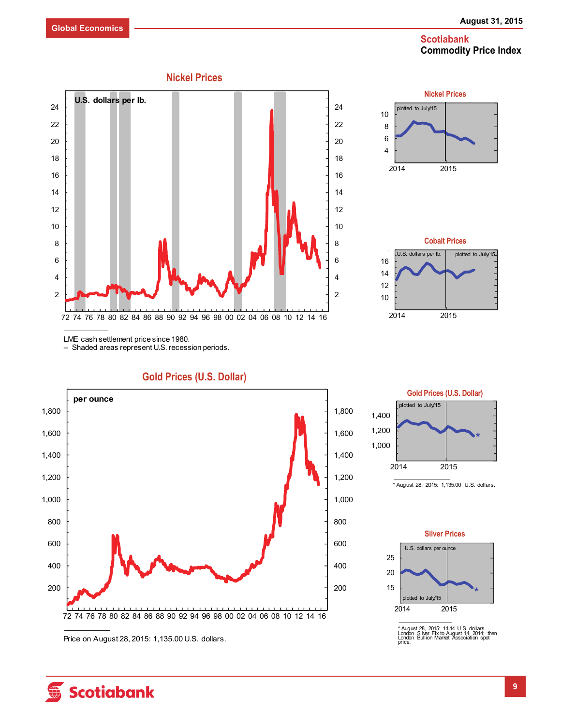





LME cash settlement price since 1980.

– Shaded areas represent U.S. recession periods.

200 400 600 800 1,000 1,200 1,400 1,600 1,800 200 400 600 800 1,000 1,200 1,400 1,600 1,800 72 74 76 78 80 82 84 86 88 90 92 94 96 98 00 02 04 06 08 10 12 14 16 **per ounce Gold Prices (U.S. Dollar)** 



\* August 28, 2015: 1,135.00 U.S. dollars.

**Gold Prices (U.S. Dollar)** 



\* August 28, 2015: 14.44 U.S. dollars. London Silver Fix to August 14, 2014; then London Bullion Market Association spot price.

Price on August 28, 2015: 1,135.00 U.S. dollars.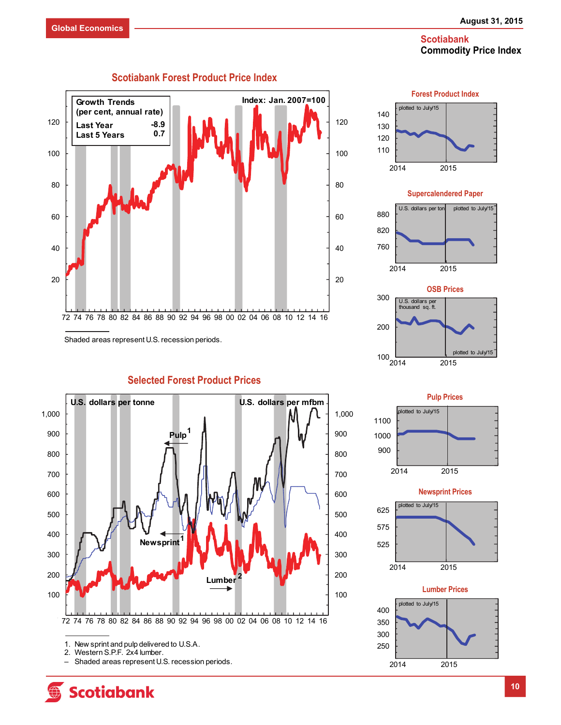

Shaded areas represent U.S. recession periods.



**Selected Forest Product Prices** 

1. New sprint and pulp delivered to U.S.A.

**Scotiabank** 

– Shaded areas represent U.S. recession periods.







**Newsprint Prices** 





<sup>2.</sup> Western S.P.F. 2x4 lumber.<br>- Shaded areas represent U.S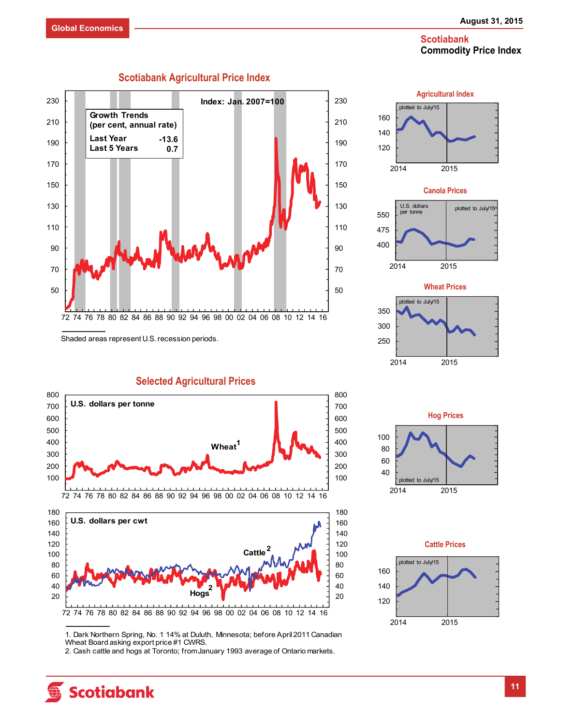

**Scotiabank Agricultural Price Index** 

Shaded areas represent U.S. recession periods.

**Selected Agricultural Prices** 





2. Cash cattle and hogs at Toronto; from January 1993 average of Ontario markets.



**Agricultural Index**